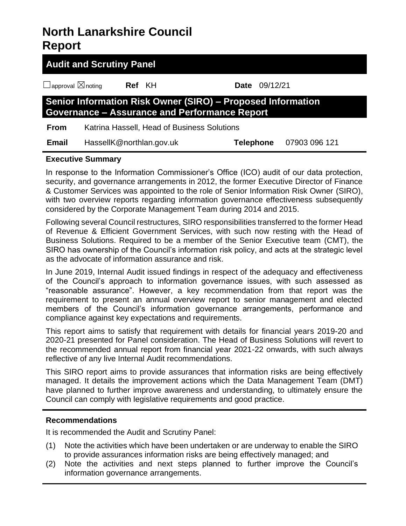## **North Lanarkshire Council Report**

| <b>Audit and Scrutiny Panel</b>                                                                                            |                          |  |                  |          |               |  |  |  |
|----------------------------------------------------------------------------------------------------------------------------|--------------------------|--|------------------|----------|---------------|--|--|--|
| $\Box$ approval $\boxtimes$ noting                                                                                         | Ref KH                   |  | <b>Date</b>      | 09/12/21 |               |  |  |  |
| <b>Senior Information Risk Owner (SIRO) - Proposed Information</b><br><b>Governance - Assurance and Performance Report</b> |                          |  |                  |          |               |  |  |  |
| Katrina Hassell, Head of Business Solutions<br><b>From</b>                                                                 |                          |  |                  |          |               |  |  |  |
| <b>Email</b>                                                                                                               | HassellK@northlan.gov.uk |  | <b>Telephone</b> |          | 07903 096 121 |  |  |  |

#### **Executive Summary**

In response to the Information Commissioner's Office (ICO) audit of our data protection, security, and governance arrangements in 2012, the former Executive Director of Finance & Customer Services was appointed to the role of Senior Information Risk Owner (SIRO), with two overview reports regarding information governance effectiveness subsequently considered by the Corporate Management Team during 2014 and 2015.

Following several Council restructures, SIRO responsibilities transferred to the former Head of Revenue & Efficient Government Services, with such now resting with the Head of Business Solutions. Required to be a member of the Senior Executive team (CMT), the SIRO has ownership of the Council's information risk policy, and acts at the strategic level as the advocate of information assurance and risk.

In June 2019, Internal Audit issued findings in respect of the adequacy and effectiveness of the Council's approach to information governance issues, with such assessed as "reasonable assurance". However, a key recommendation from that report was the requirement to present an annual overview report to senior management and elected members of the Council's information governance arrangements, performance and compliance against key expectations and requirements.

This report aims to satisfy that requirement with details for financial years 2019-20 and 2020-21 presented for Panel consideration. The Head of Business Solutions will revert to the recommended annual report from financial year 2021-22 onwards, with such always reflective of any live Internal Audit recommendations.

This SIRO report aims to provide assurances that information risks are being effectively managed. It details the improvement actions which the Data Management Team (DMT) have planned to further improve awareness and understanding, to ultimately ensure the Council can comply with legislative requirements and good practice.

#### **Recommendations**

It is recommended the Audit and Scrutiny Panel:

- (1) Note the activities which have been undertaken or are underway to enable the SIRO to provide assurances information risks are being effectively managed; and
- (2) Note the activities and next steps planned to further improve the Council's information governance arrangements.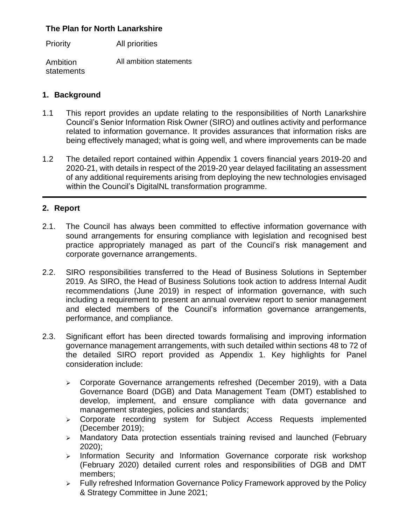#### **The Plan for North Lanarkshire**

Priority All priorities

Ambition statements All ambition statements

### **1. Background**

- 1.1 This report provides an update relating to the responsibilities of North Lanarkshire Council's Senior Information Risk Owner (SIRO) and outlines activity and performance related to information governance. It provides assurances that information risks are being effectively managed; what is going well, and where improvements can be made
- 1.2 The detailed report contained within Appendix 1 covers financial years 2019-20 and 2020-21, with details in respect of the 2019-20 year delayed facilitating an assessment of any additional requirements arising from deploying the new technologies envisaged within the Council's DigitalNL transformation programme.

#### **2. Report**

- 2.1. The Council has always been committed to effective information governance with sound arrangements for ensuring compliance with legislation and recognised best practice appropriately managed as part of the Council's risk management and corporate governance arrangements.
- 2.2. SIRO responsibilities transferred to the Head of Business Solutions in September 2019. As SIRO, the Head of Business Solutions took action to address Internal Audit recommendations (June 2019) in respect of information governance, with such including a requirement to present an annual overview report to senior management and elected members of the Council's information governance arrangements, performance, and compliance.
- 2.3. Significant effort has been directed towards formalising and improving information governance management arrangements, with such detailed within sections 48 to 72 of the detailed SIRO report provided as Appendix 1. Key highlights for Panel consideration include:
	- ➢ Corporate Governance arrangements refreshed (December 2019), with a Data Governance Board (DGB) and Data Management Team (DMT) established to develop, implement, and ensure compliance with data governance and management strategies, policies and standards;
	- ➢ Corporate recording system for Subject Access Requests implemented (December 2019);
	- ➢ Mandatory Data protection essentials training revised and launched (February 2020);
	- ➢ Information Security and Information Governance corporate risk workshop (February 2020) detailed current roles and responsibilities of DGB and DMT members;
	- ➢ Fully refreshed Information Governance Policy Framework approved by the Policy & Strategy Committee in June 2021;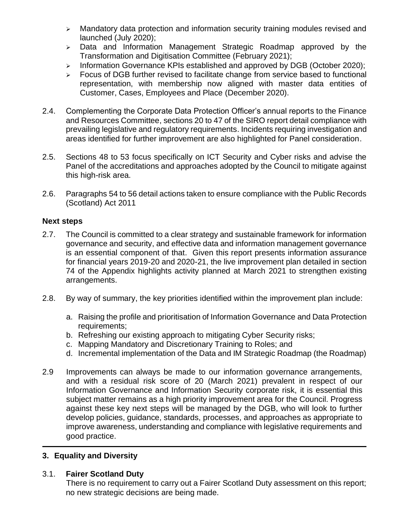- ➢ Mandatory data protection and information security training modules revised and launched (July 2020);
- ➢ Data and Information Management Strategic Roadmap approved by the Transformation and Digitisation Committee (February 2021);
- ➢ Information Governance KPIs established and approved by DGB (October 2020);
- ➢ Focus of DGB further revised to facilitate change from service based to functional representation, with membership now aligned with master data entities of Customer, Cases, Employees and Place (December 2020).
- 2.4. Complementing the Corporate Data Protection Officer's annual reports to the Finance and Resources Committee, sections 20 to 47 of the SIRO report detail compliance with prevailing legislative and regulatory requirements. Incidents requiring investigation and areas identified for further improvement are also highlighted for Panel consideration.
- 2.5. Sections 48 to 53 focus specifically on ICT Security and Cyber risks and advise the Panel of the accreditations and approaches adopted by the Council to mitigate against this high-risk area.
- 2.6. Paragraphs 54 to 56 detail actions taken to ensure compliance with the Public Records (Scotland) Act 2011

#### **Next steps**

- 2.7. The Council is committed to a clear strategy and sustainable framework for information governance and security, and effective data and information management governance is an essential component of that. Given this report presents information assurance for financial years 2019-20 and 2020-21, the live improvement plan detailed in section 74 of the Appendix highlights activity planned at March 2021 to strengthen existing arrangements.
- 2.8. By way of summary, the key priorities identified within the improvement plan include:
	- a. Raising the profile and prioritisation of Information Governance and Data Protection requirements:
	- b. Refreshing our existing approach to mitigating Cyber Security risks;
	- c. Mapping Mandatory and Discretionary Training to Roles; and
	- d. Incremental implementation of the Data and IM Strategic Roadmap (the Roadmap)
- 2.9 Improvements can always be made to our information governance arrangements, and with a residual risk score of 20 (March 2021) prevalent in respect of our Information Governance and Information Security corporate risk, it is essential this subject matter remains as a high priority improvement area for the Council. Progress against these key next steps will be managed by the DGB, who will look to further develop policies, guidance, standards, processes, and approaches as appropriate to improve awareness, understanding and compliance with legislative requirements and good practice.

#### **3. Equality and Diversity**

#### 3.1. **Fairer Scotland Duty**

There is no requirement to carry out a Fairer Scotland Duty assessment on this report; no new strategic decisions are being made.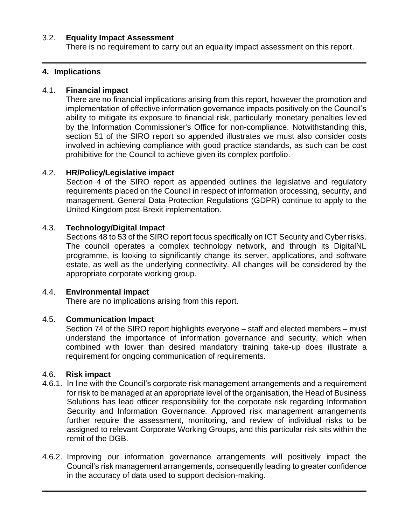#### 3.2. **Equality Impact Assessment**

There is no requirement to carry out an equality impact assessment on this report.

#### **4. Implications**

#### 4.1. **Financial impact**

There are no financial implications arising from this report, however the promotion and implementation of effective information governance impacts positively on the Council's ability to mitigate its exposure to financial risk, particularly monetary penalties levied by the Information Commissioner's Office for non-compliance. Notwithstanding this, section 51 of the SIRO report so appended illustrates we must also consider costs involved in achieving compliance with good practice standards, as such can be cost prohibitive for the Council to achieve given its complex portfolio.

#### 4.2. **HR/Policy/Legislative impact**

Section 4 of the SIRO report as appended outlines the legislative and regulatory requirements placed on the Council in respect of information processing, security, and management. General Data Protection Regulations (GDPR) continue to apply to the United Kingdom post-Brexit implementation.

#### 4.3. **Technology/Digital Impact**

Sections 48 to 53 of the SIRO report focus specifically on ICT Security and Cyber risks. The council operates a complex technology network, and through its DigitalNL programme, is looking to significantly change its server, applications, and software estate, as well as the underlying connectivity. All changes will be considered by the appropriate corporate working group.

#### 4.4. **Environmental impact**

There are no implications arising from this report.

#### 4.5. **Communication Impact**

Section 74 of the SIRO report highlights everyone – staff and elected members – must understand the importance of information governance and security, which when combined with lower than desired mandatory training take-up does illustrate a requirement for ongoing communication of requirements.

#### 4.6. **Risk impact**

- 4.6.1. In line with the Council's corporate risk management arrangements and a requirement for risk to be managed at an appropriate level of the organisation, the Head of Business Solutions has lead officer responsibility for the corporate risk regarding Information Security and Information Governance. Approved risk management arrangements further require the assessment, monitoring, and review of individual risks to be assigned to relevant Corporate Working Groups, and this particular risk sits within the remit of the DGB.
- 4.6.2. Improving our information governance arrangements will positively impact the Council's risk management arrangements, consequently leading to greater confidence in the accuracy of data used to support decision-making.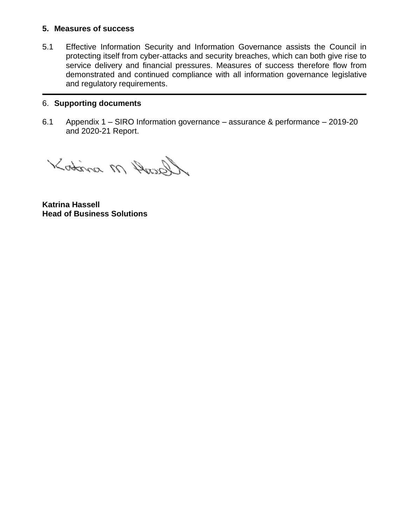#### **5. Measures of success**

5.1 Effective Information Security and Information Governance assists the Council in protecting itself from cyber-attacks and security breaches, which can both give rise to service delivery and financial pressures. Measures of success therefore flow from demonstrated and continued compliance with all information governance legislative and regulatory requirements.

#### 6. **Supporting documents**

6.1 Appendix 1 – SIRO Information governance – assurance & performance – 2019-20 and 2020-21 Report.

Ascent M middle

**Katrina Hassell Head of Business Solutions**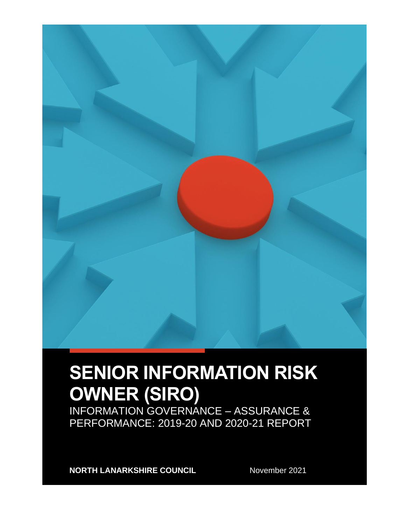

# **SENIOR INFORMATION RISK OWNER (SIRO)**

INFORMATION GOVERNANCE – ASSURANCE & PERFORMANCE: 2019-20 AND 2020-21 REPORT

**NORTH LANARKSHIRE COUNCIL** November 2021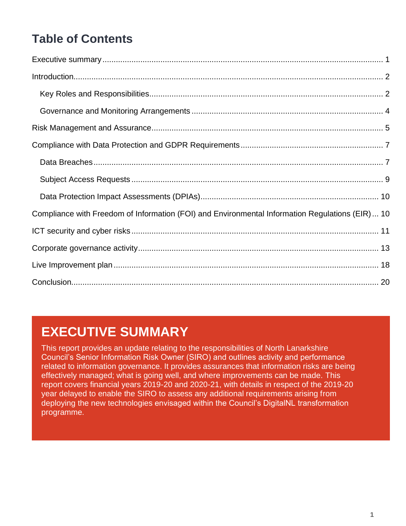## **Table of Contents**

| Compliance with Freedom of Information (FOI) and Environmental Information Regulations (EIR) 10 |  |
|-------------------------------------------------------------------------------------------------|--|
|                                                                                                 |  |
|                                                                                                 |  |
|                                                                                                 |  |
|                                                                                                 |  |

## <span id="page-6-0"></span>**EXECUTIVE SUMMARY**

This report provides an update relating to the responsibilities of North Lanarkshire Council's Senior Information Risk Owner (SIRO) and outlines activity and performance related to information governance. It provides assurances that information risks are being effectively managed; what is going well, and where improvements can be made. This report covers financial years 2019-20 and 2020-21, with details in respect of the 2019-20 year delayed to enable the SIRO to assess any additional requirements arising from deploying the new technologies envisaged within the Council's DigitalNL transformation programme.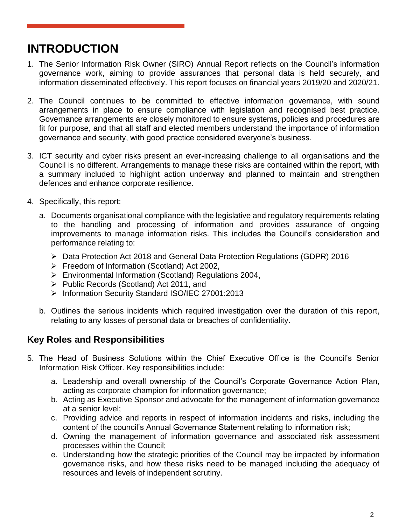## <span id="page-7-0"></span>**INTRODUCTION**

- 1. The Senior Information Risk Owner (SIRO) Annual Report reflects on the Council's information governance work, aiming to provide assurances that personal data is held securely, and information disseminated effectively. This report focuses on financial years 2019/20 and 2020/21.
- 2. The Council continues to be committed to effective information governance, with sound arrangements in place to ensure compliance with legislation and recognised best practice. Governance arrangements are closely monitored to ensure systems, policies and procedures are fit for purpose, and that all staff and elected members understand the importance of information governance and security, with good practice considered everyone's business.
- 3. ICT security and cyber risks present an ever-increasing challenge to all organisations and the Council is no different. Arrangements to manage these risks are contained within the report, with a summary included to highlight action underway and planned to maintain and strengthen defences and enhance corporate resilience.
- 4. Specifically, this report:
	- a. Documents organisational compliance with the legislative and regulatory requirements relating to the handling and processing of information and provides assurance of ongoing improvements to manage information risks. This includes the Council's consideration and performance relating to:
		- ➢ Data Protection Act 2018 and General Data Protection Regulations (GDPR) 2016
		- ➢ Freedom of Information (Scotland) Act 2002,
		- ➢ Environmental Information (Scotland) Regulations 2004,
		- ➢ Public Records (Scotland) Act 2011, and
		- ➢ Information Security Standard ISO/IEC 27001:2013
	- b. Outlines the serious incidents which required investigation over the duration of this report, relating to any losses of personal data or breaches of confidentiality.

#### <span id="page-7-1"></span>**Key Roles and Responsibilities**

- 5. The Head of Business Solutions within the Chief Executive Office is the Council's Senior Information Risk Officer. Key responsibilities include:
	- a. Leadership and overall ownership of the Council's Corporate Governance Action Plan, acting as corporate champion for information governance;
	- b. Acting as Executive Sponsor and advocate for the management of information governance at a senior level;
	- c. Providing advice and reports in respect of information incidents and risks, including the content of the council's Annual Governance Statement relating to information risk;
	- d. Owning the management of information governance and associated risk assessment processes within the Council;
	- e. Understanding how the strategic priorities of the Council may be impacted by information governance risks, and how these risks need to be managed including the adequacy of resources and levels of independent scrutiny.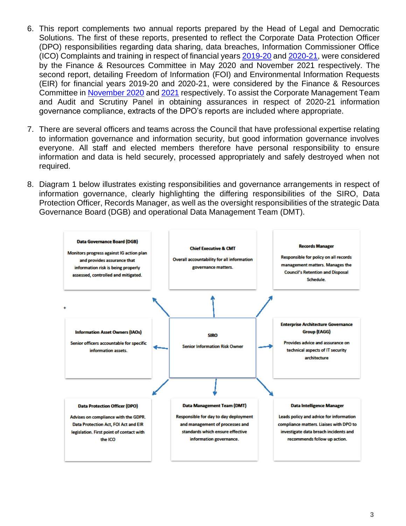- 6. This report complements two annual reports prepared by the Head of Legal and Democratic Solutions. The first of these reports, presented to reflect the Corporate Data Protection Officer (DPO) responsibilities regarding data sharing, data breaches, Information Commissioner Office (ICO) Complaints and training in respect of financial years [2019-20](https://mars.northlanarkshire.gov.uk/egenda/images/att94014.pdf) and [2020-21,](https://mars.northlanarkshire.gov.uk/egenda/images/att97307.pdf) were considered by the Finance & Resources Committee in May 2020 and November 2021 respectively. The second report, detailing Freedom of Information (FOI) and Environmental Information Requests (EIR) for financial years 2019-20 and 2020-21, were considered by the Finance & Resources Committee in [November 2020](https://mars.northlanarkshire.gov.uk/egenda/images/att94847.pdf) and [2021](https://mars.northlanarkshire.gov.uk/egenda/images/att97268.pdf) respectively. To assist the Corporate Management Team and Audit and Scrutiny Panel in obtaining assurances in respect of 2020-21 information governance compliance, extracts of the DPO's reports are included where appropriate.
- 7. There are several officers and teams across the Council that have professional expertise relating to information governance and information security, but good information governance involves everyone. All staff and elected members therefore have personal responsibility to ensure information and data is held securely, processed appropriately and safely destroyed when not required.
- 8. Diagram 1 below illustrates existing responsibilities and governance arrangements in respect of information governance, clearly highlighting the differing responsibilities of the SIRO, Data Protection Officer, Records Manager, as well as the oversight responsibilities of the strategic Data Governance Board (DGB) and operational Data Management Team (DMT).

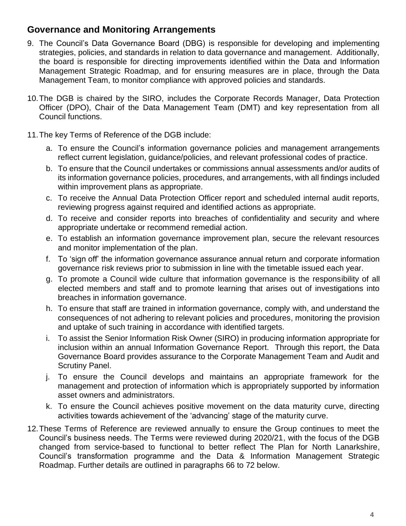### <span id="page-9-0"></span>**Governance and Monitoring Arrangements**

- 9. The Council's Data Governance Board (DBG) is responsible for developing and implementing strategies, policies, and standards in relation to data governance and management. Additionally, the board is responsible for directing improvements identified within the Data and Information Management Strategic Roadmap, and for ensuring measures are in place, through the Data Management Team, to monitor compliance with approved policies and standards.
- 10.The DGB is chaired by the SIRO, includes the Corporate Records Manager, Data Protection Officer (DPO), Chair of the Data Management Team (DMT) and key representation from all Council functions.
- 11.The key Terms of Reference of the DGB include:
	- a. To ensure the Council's information governance policies and management arrangements reflect current legislation, guidance/policies, and relevant professional codes of practice.
	- b. To ensure that the Council undertakes or commissions annual assessments and/or audits of its information governance policies, procedures, and arrangements, with all findings included within improvement plans as appropriate.
	- c. To receive the Annual Data Protection Officer report and scheduled internal audit reports, reviewing progress against required and identified actions as appropriate.
	- d. To receive and consider reports into breaches of confidentiality and security and where appropriate undertake or recommend remedial action.
	- e. To establish an information governance improvement plan, secure the relevant resources and monitor implementation of the plan.
	- f. To 'sign off' the information governance assurance annual return and corporate information governance risk reviews prior to submission in line with the timetable issued each year.
	- g. To promote a Council wide culture that information governance is the responsibility of all elected members and staff and to promote learning that arises out of investigations into breaches in information governance.
	- h. To ensure that staff are trained in information governance, comply with, and understand the consequences of not adhering to relevant policies and procedures, monitoring the provision and uptake of such training in accordance with identified targets.
	- i. To assist the Senior Information Risk Owner (SIRO) in producing information appropriate for inclusion within an annual Information Governance Report. Through this report, the Data Governance Board provides assurance to the Corporate Management Team and Audit and Scrutiny Panel.
	- j. To ensure the Council develops and maintains an appropriate framework for the management and protection of information which is appropriately supported by information asset owners and administrators.
	- k. To ensure the Council achieves positive movement on the data maturity curve, directing activities towards achievement of the 'advancing' stage of the maturity curve.
- 12.These Terms of Reference are reviewed annually to ensure the Group continues to meet the Council's business needs. The Terms were reviewed during 2020/21, with the focus of the DGB changed from service-based to functional to better reflect The Plan for North Lanarkshire, Council's transformation programme and the Data & Information Management Strategic Roadmap. Further details are outlined in paragraphs 66 to 72 below.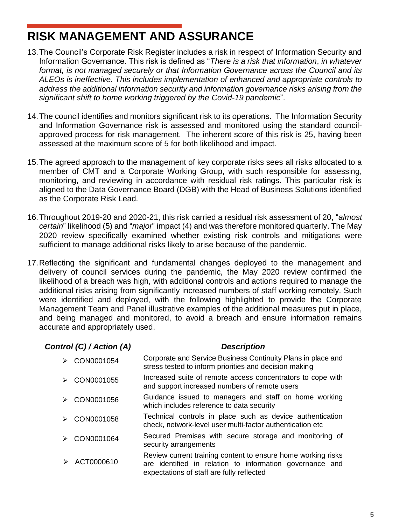## <span id="page-10-0"></span>**RISK MANAGEMENT AND ASSURANCE**

- 13.The Council's Corporate Risk Register includes a risk in respect of Information Security and Information Governance. This risk is defined as "*There is a risk that information*, *in whatever format, is not managed securely or that Information Governance across the Council and its ALEOs is ineffective. This includes implementation of enhanced and appropriate controls to address the additional information security and information governance risks arising from the significant shift to home working triggered by the Covid-19 pandemic*".
- 14.The council identifies and monitors significant risk to its operations. The Information Security and Information Governance risk is assessed and monitored using the standard councilapproved process for risk management. The inherent score of this risk is 25, having been assessed at the maximum score of 5 for both likelihood and impact.
- 15.The agreed approach to the management of key corporate risks sees all risks allocated to a member of CMT and a Corporate Working Group, with such responsible for assessing, monitoring, and reviewing in accordance with residual risk ratings. This particular risk is aligned to the Data Governance Board (DGB) with the Head of Business Solutions identified as the Corporate Risk Lead.
- 16.Throughout 2019-20 and 2020-21, this risk carried a residual risk assessment of 20, "*almost certain*" likelihood (5) and "*major*" impact (4) and was therefore monitored quarterly. The May 2020 review specifically examined whether existing risk controls and mitigations were sufficient to manage additional risks likely to arise because of the pandemic.
- 17.Reflecting the significant and fundamental changes deployed to the management and delivery of council services during the pandemic, the May 2020 review confirmed the likelihood of a breach was high, with additional controls and actions required to manage the additional risks arising from significantly increased numbers of staff working remotely. Such were identified and deployed, with the following highlighted to provide the Corporate Management Team and Panel illustrative examples of the additional measures put in place, and being managed and monitored, to avoid a breach and ensure information remains accurate and appropriately used.

#### *Control (C) / Action (A) Description*

| CON0001054 | Corporate and Service Business Continuity Plans in place and<br>stress tested to inform priorities and decision making                                                |
|------------|-----------------------------------------------------------------------------------------------------------------------------------------------------------------------|
| CON0001055 | Increased suite of remote access concentrators to cope with<br>and support increased numbers of remote users                                                          |
| CON0001056 | Guidance issued to managers and staff on home working<br>which includes reference to data security                                                                    |
| CON0001058 | Technical controls in place such as device authentication<br>check, network-level user multi-factor authentication etc                                                |
| CON0001064 | Secured Premises with secure storage and monitoring of<br>security arrangements                                                                                       |
| ACT0000610 | Review current training content to ensure home working risks<br>are identified in relation to information governance and<br>expectations of staff are fully reflected |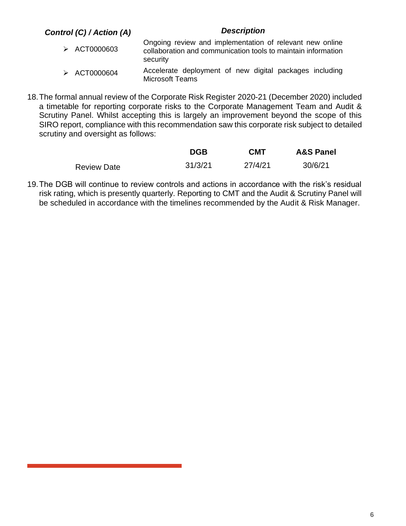#### *Control (C) / Action (A) Description*

- ➢ ACT0000603 Ongoing review and implementation of relevant new online collaboration and communication tools to maintain information security
- ➢ ACT0000604 Accelerate deployment of new digital packages including Microsoft Teams
- 18.The formal annual review of the Corporate Risk Register 2020-21 (December 2020) included a timetable for reporting corporate risks to the Corporate Management Team and Audit & Scrutiny Panel. Whilst accepting this is largely an improvement beyond the scope of this SIRO report, compliance with this recommendation saw this corporate risk subject to detailed scrutiny and oversight as follows:

|                    | <b>DGB</b> | <b>CMT</b> | <b>A&amp;S Panel</b> |
|--------------------|------------|------------|----------------------|
| <b>Review Date</b> | 31/3/21    | 27/4/21    | 30/6/21              |

19.The DGB will continue to review controls and actions in accordance with the risk's residual risk rating, which is presently quarterly. Reporting to CMT and the Audit & Scrutiny Panel will be scheduled in accordance with the timelines recommended by the Audit & Risk Manager.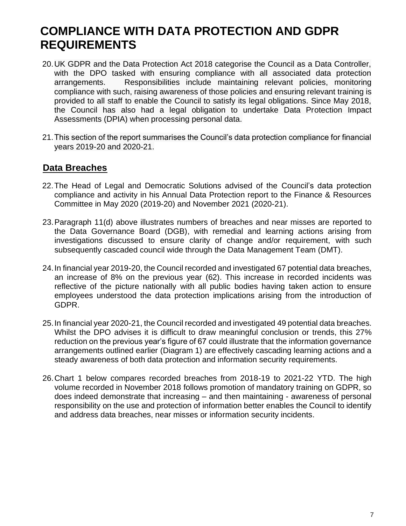## <span id="page-12-0"></span>**COMPLIANCE WITH DATA PROTECTION AND GDPR REQUIREMENTS**

- 20.UK GDPR and the Data Protection Act 2018 categorise the Council as a Data Controller, with the DPO tasked with ensuring compliance with all associated data protection arrangements. Responsibilities include maintaining relevant policies, monitoring compliance with such, raising awareness of those policies and ensuring relevant training is provided to all staff to enable the Council to satisfy its legal obligations. Since May 2018, the Council has also had a legal obligation to undertake Data Protection Impact Assessments (DPIA) when processing personal data.
- 21.This section of the report summarises the Council's data protection compliance for financial years 2019-20 and 2020-21.

#### <span id="page-12-1"></span>**Data Breaches**

- 22.The Head of Legal and Democratic Solutions advised of the Council's data protection compliance and activity in his Annual Data Protection report to the Finance & Resources Committee in May 2020 (2019-20) and November 2021 (2020-21).
- 23.Paragraph 11(d) above illustrates numbers of breaches and near misses are reported to the Data Governance Board (DGB), with remedial and learning actions arising from investigations discussed to ensure clarity of change and/or requirement, with such subsequently cascaded council wide through the Data Management Team (DMT).
- 24.In financial year 2019-20, the Council recorded and investigated 67 potential data breaches, an increase of 8% on the previous year (62). This increase in recorded incidents was reflective of the picture nationally with all public bodies having taken action to ensure employees understood the data protection implications arising from the introduction of GDPR.
- 25.In financial year 2020-21, the Council recorded and investigated 49 potential data breaches. Whilst the DPO advises it is difficult to draw meaningful conclusion or trends, this 27% reduction on the previous year's figure of 67 could illustrate that the information governance arrangements outlined earlier (Diagram 1) are effectively cascading learning actions and a steady awareness of both data protection and information security requirements.
- 26.Chart 1 below compares recorded breaches from 2018-19 to 2021-22 YTD. The high volume recorded in November 2018 follows promotion of mandatory training on GDPR, so does indeed demonstrate that increasing – and then maintaining - awareness of personal responsibility on the use and protection of information better enables the Council to identify and address data breaches, near misses or information security incidents.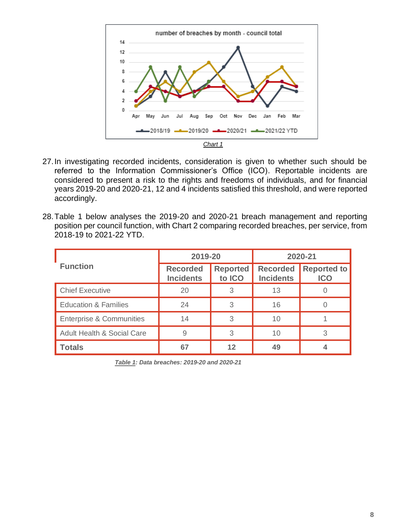

27.In investigating recorded incidents, consideration is given to whether such should be referred to the Information Commissioner's Office (ICO). Reportable incidents are considered to present a risk to the rights and freedoms of individuals, and for financial years 2019-20 and 2020-21, 12 and 4 incidents satisfied this threshold, and were reported accordingly.

|  |  |                         |  |  | 28. Table 1 below analyses the 2019-20 and 2020-21 breach management and reporting         |  |  |
|--|--|-------------------------|--|--|--------------------------------------------------------------------------------------------|--|--|
|  |  |                         |  |  | position per council function, with Chart 2 comparing recorded breaches, per service, from |  |  |
|  |  | 2018-19 to 2021-22 YTD. |  |  |                                                                                            |  |  |

|                                       | 2019-20                             |                           | 2020-21                             |                                  |  |
|---------------------------------------|-------------------------------------|---------------------------|-------------------------------------|----------------------------------|--|
| <b>Function</b>                       | <b>Recorded</b><br><b>Incidents</b> | <b>Reported</b><br>to ICO | <b>Recorded</b><br><b>Incidents</b> | <b>Reported to</b><br><b>ICO</b> |  |
| <b>Chief Executive</b>                | 20                                  | 3                         | 13                                  |                                  |  |
| <b>Education &amp; Families</b>       | 24                                  | 3                         | 16                                  |                                  |  |
| <b>Enterprise &amp; Communities</b>   | 14                                  | 3                         | 10                                  |                                  |  |
| <b>Adult Health &amp; Social Care</b> | 9                                   | 3                         | 10                                  | 3                                |  |
| <b>Totals</b>                         | 67                                  | 12                        | 49                                  |                                  |  |

*Table 1: Data breaches: 2019-20 and 2020-21*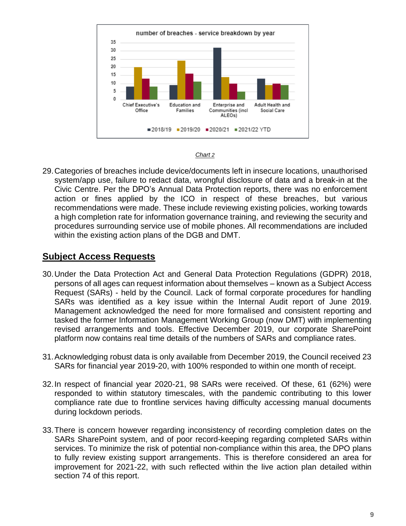



29.Categories of breaches include device/documents left in insecure locations, unauthorised system/app use, failure to redact data, wrongful disclosure of data and a break-in at the Civic Centre. Per the DPO's Annual Data Protection reports, there was no enforcement action or fines applied by the ICO in respect of these breaches, but various recommendations were made. These include reviewing existing policies, working towards a high completion rate for information governance training, and reviewing the security and procedures surrounding service use of mobile phones. All recommendations are included within the existing action plans of the DGB and DMT.

#### <span id="page-14-0"></span>**Subject Access Requests**

- 30.Under the Data Protection Act and General Data Protection Regulations (GDPR) 2018, persons of all ages can request information about themselves – known as a Subject Access Request (SARs) - held by the Council. Lack of formal corporate procedures for handling SARs was identified as a key issue within the Internal Audit report of June 2019. Management acknowledged the need for more formalised and consistent reporting and tasked the former Information Management Working Group (now DMT) with implementing revised arrangements and tools. Effective December 2019, our corporate SharePoint platform now contains real time details of the numbers of SARs and compliance rates.
- 31.Acknowledging robust data is only available from December 2019, the Council received 23 SARs for financial year 2019-20, with 100% responded to within one month of receipt.
- 32.In respect of financial year 2020-21, 98 SARs were received. Of these, 61 (62%) were responded to within statutory timescales, with the pandemic contributing to this lower compliance rate due to frontline services having difficulty accessing manual documents during lockdown periods.
- 33.There is concern however regarding inconsistency of recording completion dates on the SARs SharePoint system, and of poor record-keeping regarding completed SARs within services. To minimize the risk of potential non-compliance within this area, the DPO plans to fully review existing support arrangements. This is therefore considered an area for improvement for 2021-22, with such reflected within the live action plan detailed within section 74 of this report.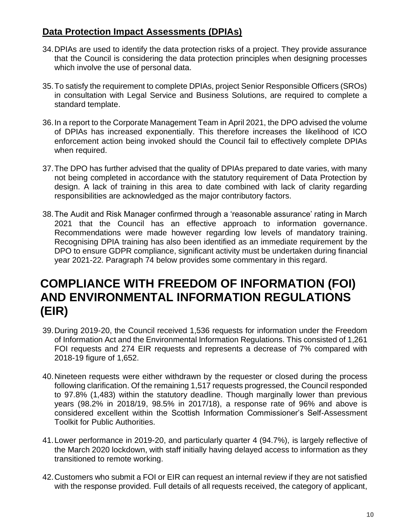#### <span id="page-15-0"></span>**Data Protection Impact Assessments (DPIAs)**

- 34.DPIAs are used to identify the data protection risks of a project. They provide assurance that the Council is considering the data protection principles when designing processes which involve the use of personal data.
- 35.To satisfy the requirement to complete DPIAs, project Senior Responsible Officers (SROs) in consultation with Legal Service and Business Solutions, are required to complete a standard template.
- 36.In a report to the Corporate Management Team in April 2021, the DPO advised the volume of DPIAs has increased exponentially. This therefore increases the likelihood of ICO enforcement action being invoked should the Council fail to effectively complete DPIAs when required.
- 37.The DPO has further advised that the quality of DPIAs prepared to date varies, with many not being completed in accordance with the statutory requirement of Data Protection by design. A lack of training in this area to date combined with lack of clarity regarding responsibilities are acknowledged as the major contributory factors.
- 38.The Audit and Risk Manager confirmed through a 'reasonable assurance' rating in March 2021 that the Council has an effective approach to information governance. Recommendations were made however regarding low levels of mandatory training. Recognising DPIA training has also been identified as an immediate requirement by the DPO to ensure GDPR compliance, significant activity must be undertaken during financial year 2021-22. Paragraph 74 below provides some commentary in this regard.

## <span id="page-15-1"></span>**COMPLIANCE WITH FREEDOM OF INFORMATION (FOI) AND ENVIRONMENTAL INFORMATION REGULATIONS (EIR)**

- 39.During 2019-20, the Council received 1,536 requests for information under the Freedom of Information Act and the Environmental Information Regulations. This consisted of 1,261 FOI requests and 274 EIR requests and represents a decrease of 7% compared with 2018-19 figure of 1,652.
- 40.Nineteen requests were either withdrawn by the requester or closed during the process following clarification. Of the remaining 1,517 requests progressed, the Council responded to 97.8% (1,483) within the statutory deadline. Though marginally lower than previous years (98.2% in 2018/19, 98.5% in 2017/18), a response rate of 96% and above is considered excellent within the Scottish Information Commissioner's Self-Assessment Toolkit for Public Authorities.
- 41.Lower performance in 2019-20, and particularly quarter 4 (94.7%), is largely reflective of the March 2020 lockdown, with staff initially having delayed access to information as they transitioned to remote working.
- 42.Customers who submit a FOI or EIR can request an internal review if they are not satisfied with the response provided. Full details of all requests received, the category of applicant,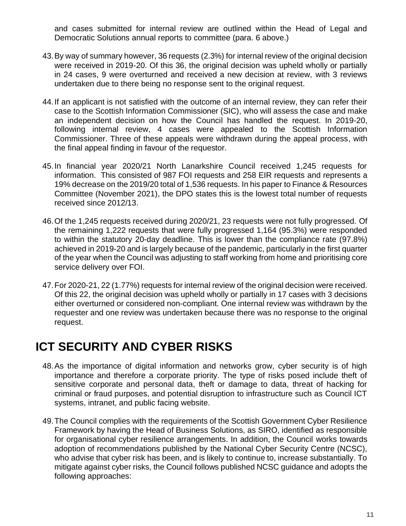and cases submitted for internal review are outlined within the Head of Legal and Democratic Solutions annual reports to committee (para. 6 above.)

- 43.By way of summary however, 36 requests (2.3%) for internal review of the original decision were received in 2019-20. Of this 36, the original decision was upheld wholly or partially in 24 cases, 9 were overturned and received a new decision at review, with 3 reviews undertaken due to there being no response sent to the original request.
- 44.If an applicant is not satisfied with the outcome of an internal review, they can refer their case to the Scottish Information Commissioner (SIC), who will assess the case and make an independent decision on how the Council has handled the request. In 2019-20, following internal review, 4 cases were appealed to the Scottish Information Commissioner. Three of these appeals were withdrawn during the appeal process, with the final appeal finding in favour of the requestor.
- 45.In financial year 2020/21 North Lanarkshire Council received 1,245 requests for information. This consisted of 987 FOI requests and 258 EIR requests and represents a 19% decrease on the 2019/20 total of 1,536 requests. In his paper to Finance & Resources Committee (November 2021), the DPO states this is the lowest total number of requests received since 2012/13.
- 46.Of the 1,245 requests received during 2020/21, 23 requests were not fully progressed. Of the remaining 1,222 requests that were fully progressed 1,164 (95.3%) were responded to within the statutory 20-day deadline. This is lower than the compliance rate (97.8%) achieved in 2019-20 and is largely because of the pandemic, particularly in the first quarter of the year when the Council was adjusting to staff working from home and prioritising core service delivery over FOI.
- 47.For 2020-21, 22 (1.77%) requests for internal review of the original decision were received. Of this 22, the original decision was upheld wholly or partially in 17 cases with 3 decisions either overturned or considered non-compliant. One internal review was withdrawn by the requester and one review was undertaken because there was no response to the original request.

## <span id="page-16-0"></span>**ICT SECURITY AND CYBER RISKS**

- 48.As the importance of digital information and networks grow, cyber security is of high importance and therefore a corporate priority. The type of risks posed include theft of sensitive corporate and personal data, theft or damage to data, threat of hacking for criminal or fraud purposes, and potential disruption to infrastructure such as Council ICT systems, intranet, and public facing website.
- 49.The Council complies with the requirements of the Scottish Government Cyber Resilience Framework by having the Head of Business Solutions, as SIRO, identified as responsible for organisational cyber resilience arrangements. In addition, the Council works towards adoption of recommendations published by the National Cyber Security Centre (NCSC), who advise that cyber risk has been, and is likely to continue to, increase substantially. To mitigate against cyber risks, the Council follows published NCSC guidance and adopts the following approaches: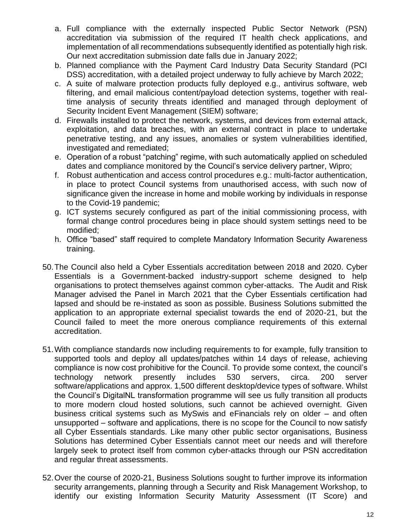- a. Full compliance with the externally inspected Public Sector Network (PSN) accreditation via submission of the required IT health check applications, and implementation of all recommendations subsequently identified as potentially high risk. Our next accreditation submission date falls due in January 2022;
- b. Planned compliance with the Payment Card Industry Data Security Standard (PCI DSS) accreditation, with a detailed project underway to fully achieve by March 2022;
- c. A suite of malware protection products fully deployed e.g., antivirus software, web filtering, and email malicious content/payload detection systems, together with realtime analysis of security threats identified and managed through deployment of Security Incident Event Management (SIEM) software;
- d. Firewalls installed to protect the network, systems, and devices from external attack, exploitation, and data breaches, with an external contract in place to undertake penetrative testing, and any issues, anomalies or system vulnerabilities identified, investigated and remediated;
- e. Operation of a robust "patching" regime, with such automatically applied on scheduled dates and compliance monitored by the Council's service delivery partner, Wipro;
- f. Robust authentication and access control procedures e.g.: multi-factor authentication, in place to protect Council systems from unauthorised access, with such now of significance given the increase in home and mobile working by individuals in response to the Covid-19 pandemic;
- g. ICT systems securely configured as part of the initial commissioning process, with formal change control procedures being in place should system settings need to be modified;
- h. Office "based" staff required to complete Mandatory Information Security Awareness training.
- 50.The Council also held a Cyber Essentials accreditation between 2018 and 2020. Cyber Essentials is a Government-backed industry-support scheme designed to help organisations to protect themselves against common cyber-attacks. The Audit and Risk Manager advised the Panel in March 2021 that the Cyber Essentials certification had lapsed and should be re-instated as soon as possible. Business Solutions submitted the application to an appropriate external specialist towards the end of 2020-21, but the Council failed to meet the more onerous compliance requirements of this external accreditation.
- 51.With compliance standards now including requirements to for example, fully transition to supported tools and deploy all updates/patches within 14 days of release, achieving compliance is now cost prohibitive for the Council. To provide some context, the council's technology network presently includes 530 servers, circa. 200 server software/applications and approx. 1,500 different desktop/device types of software. Whilst the Council's DigitalNL transformation programme will see us fully transition all products to more modern cloud hosted solutions, such cannot be achieved overnight. Given business critical systems such as MySwis and eFinancials rely on older – and often unsupported – software and applications, there is no scope for the Council to now satisfy all Cyber Essentials standards. Like many other public sector organisations, Business Solutions has determined Cyber Essentials cannot meet our needs and will therefore largely seek to protect itself from common cyber-attacks through our PSN accreditation and regular threat assessments.
- 52.Over the course of 2020-21, Business Solutions sought to further improve its information security arrangements, planning through a Security and Risk Management Workshop, to identify our existing Information Security Maturity Assessment (IT Score) and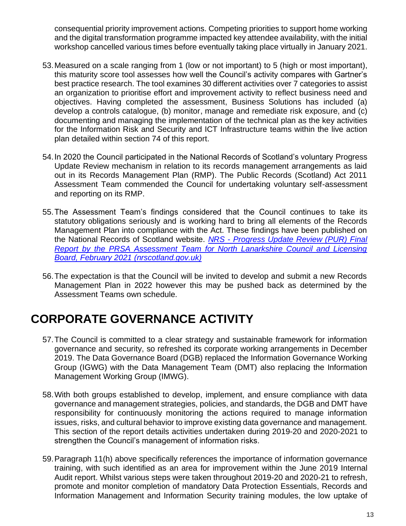consequential priority improvement actions. Competing priorities to support home working and the digital transformation programme impacted key attendee availability, with the initial workshop cancelled various times before eventually taking place virtually in January 2021.

- 53.Measured on a scale ranging from 1 (low or not important) to 5 (high or most important), this maturity score tool assesses how well the Council's activity compares with Gartner's best practice research. The tool examines 30 different activities over 7 categories to assist an organization to prioritise effort and improvement activity to reflect business need and objectives. Having completed the assessment, Business Solutions has included (a) develop a controls catalogue, (b) monitor, manage and remediate risk exposure, and (c) documenting and managing the implementation of the technical plan as the key activities for the Information Risk and Security and ICT Infrastructure teams within the live action plan detailed within section 74 of this report.
- 54.In 2020 the Council participated in the National Records of Scotland's voluntary Progress Update Review mechanism in relation to its records management arrangements as laid out in its Records Management Plan (RMP). The Public Records (Scotland) Act 2011 Assessment Team commended the Council for undertaking voluntary self-assessment and reporting on its RMP.
- 55.The Assessment Team's findings considered that the Council continues to take its statutory obligations seriously and is working hard to bring all elements of the Records Management Plan into compliance with the Act. These findings have been published on the National Records of Scotland website. *NRS - [Progress Update Review \(PUR\) Final](https://www.nrscotland.gov.uk/files/record-keeping/public-records-act/nrs-progress-update-review-final-report-for-north-lanarkshire-council-and-licensing-board-february-2021.pdf)  [Report by the PRSA Assessment Team for North Lanarkshire Council and Licensing](https://www.nrscotland.gov.uk/files/record-keeping/public-records-act/nrs-progress-update-review-final-report-for-north-lanarkshire-council-and-licensing-board-february-2021.pdf)  [Board, February 2021 \(nrscotland.gov.uk\)](https://www.nrscotland.gov.uk/files/record-keeping/public-records-act/nrs-progress-update-review-final-report-for-north-lanarkshire-council-and-licensing-board-february-2021.pdf)*
- 56.The expectation is that the Council will be invited to develop and submit a new Records Management Plan in 2022 however this may be pushed back as determined by the Assessment Teams own schedule.

## <span id="page-18-0"></span>**CORPORATE GOVERNANCE ACTIVITY**

- 57.The Council is committed to a clear strategy and sustainable framework for information governance and security, so refreshed its corporate working arrangements in December 2019. The Data Governance Board (DGB) replaced the Information Governance Working Group (IGWG) with the Data Management Team (DMT) also replacing the Information Management Working Group (IMWG).
- 58.With both groups established to develop, implement, and ensure compliance with data governance and management strategies, policies, and standards, the DGB and DMT have responsibility for continuously monitoring the actions required to manage information issues, risks, and cultural behavior to improve existing data governance and management. This section of the report details activities undertaken during 2019-20 and 2020-2021 to strengthen the Council's management of information risks.
- 59.Paragraph 11(h) above specifically references the importance of information governance training, with such identified as an area for improvement within the June 2019 Internal Audit report. Whilst various steps were taken throughout 2019-20 and 2020-21 to refresh, promote and monitor completion of mandatory Data Protection Essentials, Records and Information Management and Information Security training modules, the low uptake of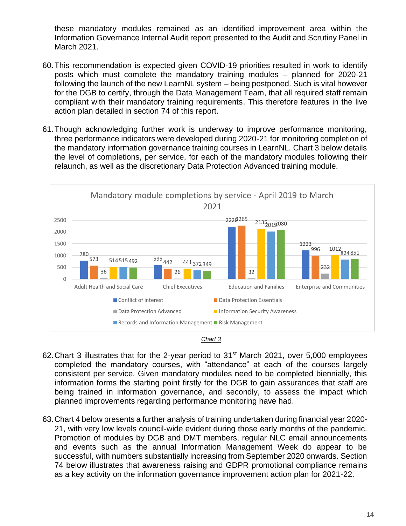these mandatory modules remained as an identified improvement area within the Information Governance Internal Audit report presented to the Audit and Scrutiny Panel in March 2021.

- 60.This recommendation is expected given COVID-19 priorities resulted in work to identify posts which must complete the mandatory training modules – planned for 2020-21 following the launch of the new LearnNL system – being postponed. Such is vital however for the DGB to certify, through the Data Management Team, that all required staff remain compliant with their mandatory training requirements. This therefore features in the live action plan detailed in section 74 of this report.
- 61.Though acknowledging further work is underway to improve performance monitoring, three performance indicators were developed during 2020-21 for monitoring completion of the mandatory information governance training courses in LearnNL. Chart 3 below details the level of completions, per service, for each of the mandatory modules following their relaunch, as well as the discretionary Data Protection Advanced training module.





- 62. Chart 3 illustrates that for the 2-year period to 31<sup>st</sup> March 2021, over 5,000 employees completed the mandatory courses, with "attendance" at each of the courses largely consistent per service. Given mandatory modules need to be completed biennially, this information forms the starting point firstly for the DGB to gain assurances that staff are being trained in information governance, and secondly, to assess the impact which planned improvements regarding performance monitoring have had.
- 63.Chart 4 below presents a further analysis of training undertaken during financial year 2020- 21, with very low levels council-wide evident during those early months of the pandemic. Promotion of modules by DGB and DMT members, regular NLC email announcements and events such as the annual Information Management Week do appear to be successful, with numbers substantially increasing from September 2020 onwards. Section 74 below illustrates that awareness raising and GDPR promotional compliance remains as a key activity on the information governance improvement action plan for 2021-22.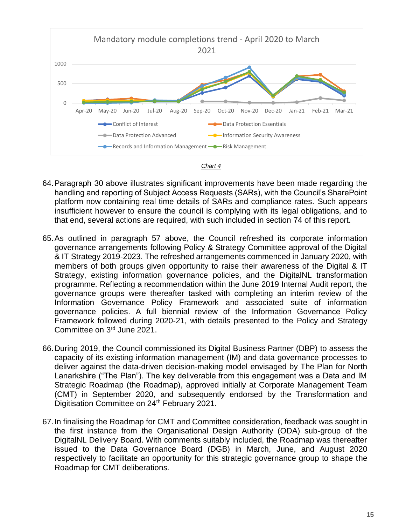



- 64.Paragraph 30 above illustrates significant improvements have been made regarding the handling and reporting of Subject Access Requests (SARs), with the Council's SharePoint platform now containing real time details of SARs and compliance rates. Such appears insufficient however to ensure the council is complying with its legal obligations, and to that end, several actions are required, with such included in section 74 of this report.
- 65.As outlined in paragraph 57 above, the Council refreshed its corporate information governance arrangements following Policy & Strategy Committee approval of the Digital & IT Strategy 2019-2023. The refreshed arrangements commenced in January 2020, with members of both groups given opportunity to raise their awareness of the Digital & IT Strategy, existing information governance policies, and the DigitalNL transformation programme. Reflecting a recommendation within the June 2019 Internal Audit report, the governance groups were thereafter tasked with completing an interim review of the Information Governance Policy Framework and associated suite of information governance policies. A full biennial review of the Information Governance Policy Framework followed during 2020-21, with details presented to the Policy and Strategy Committee on 3<sup>rd</sup> June 2021.
- 66.During 2019, the Council commissioned its Digital Business Partner (DBP) to assess the capacity of its existing information management (IM) and data governance processes to deliver against the data-driven decision-making model envisaged by The Plan for North Lanarkshire ("The Plan"). The key deliverable from this engagement was a Data and IM Strategic Roadmap (the Roadmap), approved initially at Corporate Management Team (CMT) in September 2020, and subsequently endorsed by the Transformation and Digitisation Committee on 24<sup>th</sup> February 2021.
- 67.In finalising the Roadmap for CMT and Committee consideration, feedback was sought in the first instance from the Organisational Design Authority (ODA) sub-group of the DigitalNL Delivery Board. With comments suitably included, the Roadmap was thereafter issued to the Data Governance Board (DGB) in March, June, and August 2020 respectively to facilitate an opportunity for this strategic governance group to shape the Roadmap for CMT deliberations.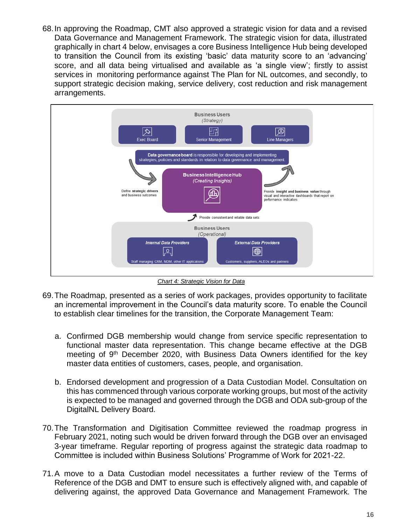68.In approving the Roadmap, CMT also approved a strategic vision for data and a revised Data Governance and Management Framework. The strategic vision for data, illustrated graphically in chart 4 below, envisages a core Business Intelligence Hub being developed to transition the Council from its existing 'basic' data maturity score to an 'advancing' score, and all data being virtualised and available as 'a single view'; firstly to assist services in monitoring performance against The Plan for NL outcomes, and secondly, to support strategic decision making, service delivery, cost reduction and risk management arrangements.



*Chart 4: Strategic Vision for Data*

- 69.The Roadmap, presented as a series of work packages, provides opportunity to facilitate an incremental improvement in the Council's data maturity score. To enable the Council to establish clear timelines for the transition, the Corporate Management Team:
	- a. Confirmed DGB membership would change from service specific representation to functional master data representation. This change became effective at the DGB meeting of 9<sup>th</sup> December 2020, with Business Data Owners identified for the key master data entities of customers, cases, people, and organisation.
	- b. Endorsed development and progression of a Data Custodian Model. Consultation on this has commenced through various corporate working groups, but most of the activity is expected to be managed and governed through the DGB and ODA sub-group of the DigitalNL Delivery Board.
- 70.The Transformation and Digitisation Committee reviewed the roadmap progress in February 2021, noting such would be driven forward through the DGB over an envisaged 3-year timeframe. Regular reporting of progress against the strategic data roadmap to Committee is included within Business Solutions' Programme of Work for 2021-22.
- 71.A move to a Data Custodian model necessitates a further review of the Terms of Reference of the DGB and DMT to ensure such is effectively aligned with, and capable of delivering against, the approved Data Governance and Management Framework. The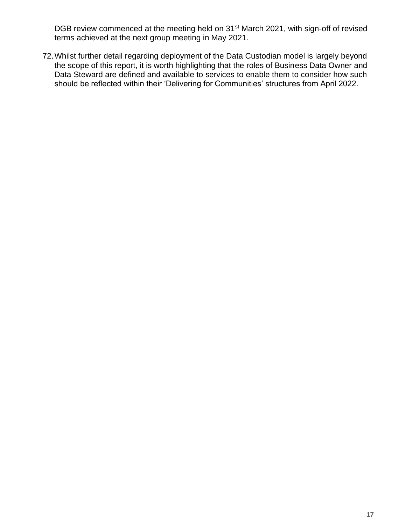DGB review commenced at the meeting held on 31<sup>st</sup> March 2021, with sign-off of revised terms achieved at the next group meeting in May 2021.

72.Whilst further detail regarding deployment of the Data Custodian model is largely beyond the scope of this report, it is worth highlighting that the roles of Business Data Owner and Data Steward are defined and available to services to enable them to consider how such should be reflected within their 'Delivering for Communities' structures from April 2022.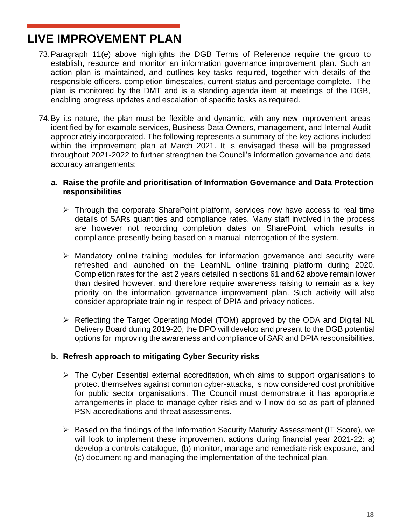## <span id="page-23-0"></span>**LIVE IMPROVEMENT PLAN**

- 73.Paragraph 11(e) above highlights the DGB Terms of Reference require the group to establish, resource and monitor an information governance improvement plan. Such an action plan is maintained, and outlines key tasks required, together with details of the responsible officers, completion timescales, current status and percentage complete. The plan is monitored by the DMT and is a standing agenda item at meetings of the DGB, enabling progress updates and escalation of specific tasks as required.
- 74.By its nature, the plan must be flexible and dynamic, with any new improvement areas identified by for example services, Business Data Owners, management, and Internal Audit appropriately incorporated. The following represents a summary of the key actions included within the improvement plan at March 2021. It is envisaged these will be progressed throughout 2021-2022 to further strengthen the Council's information governance and data accuracy arrangements:
	- **a. Raise the profile and prioritisation of Information Governance and Data Protection responsibilities**
		- ➢ Through the corporate SharePoint platform, services now have access to real time details of SARs quantities and compliance rates. Many staff involved in the process are however not recording completion dates on SharePoint, which results in compliance presently being based on a manual interrogation of the system.
		- ➢ Mandatory online training modules for information governance and security were refreshed and launched on the LearnNL online training platform during 2020. Completion rates for the last 2 years detailed in sections 61 and 62 above remain lower than desired however, and therefore require awareness raising to remain as a key priority on the information governance improvement plan. Such activity will also consider appropriate training in respect of DPIA and privacy notices.
		- ➢ Reflecting the Target Operating Model (TOM) approved by the ODA and Digital NL Delivery Board during 2019-20, the DPO will develop and present to the DGB potential options for improving the awareness and compliance of SAR and DPIA responsibilities.

#### **b. Refresh approach to mitigating Cyber Security risks**

- ➢ The Cyber Essential external accreditation, which aims to support organisations to protect themselves against common cyber-attacks, is now considered cost prohibitive for public sector organisations. The Council must demonstrate it has appropriate arrangements in place to manage cyber risks and will now do so as part of planned PSN accreditations and threat assessments.
- ➢ Based on the findings of the Information Security Maturity Assessment (IT Score), we will look to implement these improvement actions during financial year 2021-22: a) develop a controls catalogue, (b) monitor, manage and remediate risk exposure, and (c) documenting and managing the implementation of the technical plan.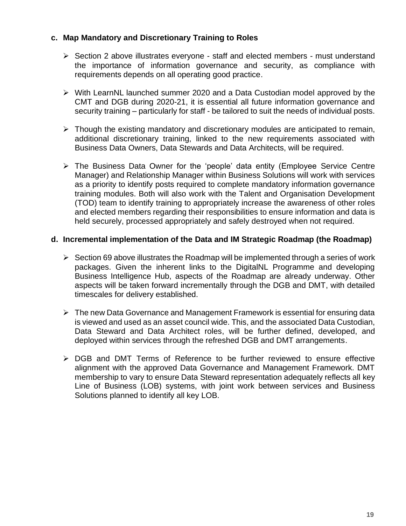#### **c. Map Mandatory and Discretionary Training to Roles**

- ➢ Section 2 above illustrates everyone staff and elected members must understand the importance of information governance and security, as compliance with requirements depends on all operating good practice.
- ➢ With LearnNL launched summer 2020 and a Data Custodian model approved by the CMT and DGB during 2020-21, it is essential all future information governance and security training – particularly for staff - be tailored to suit the needs of individual posts.
- $\triangleright$  Though the existing mandatory and discretionary modules are anticipated to remain, additional discretionary training, linked to the new requirements associated with Business Data Owners, Data Stewards and Data Architects, will be required.
- ➢ The Business Data Owner for the 'people' data entity (Employee Service Centre Manager) and Relationship Manager within Business Solutions will work with services as a priority to identify posts required to complete mandatory information governance training modules. Both will also work with the Talent and Organisation Development (TOD) team to identify training to appropriately increase the awareness of other roles and elected members regarding their responsibilities to ensure information and data is held securely, processed appropriately and safely destroyed when not required.

#### **d. Incremental implementation of the Data and IM Strategic Roadmap (the Roadmap)**

- $\triangleright$  Section 69 above illustrates the Roadmap will be implemented through a series of work packages. Given the inherent links to the DigitalNL Programme and developing Business Intelligence Hub, aspects of the Roadmap are already underway. Other aspects will be taken forward incrementally through the DGB and DMT, with detailed timescales for delivery established.
- ➢ The new Data Governance and Management Framework is essential for ensuring data is viewed and used as an asset council wide. This, and the associated Data Custodian, Data Steward and Data Architect roles, will be further defined, developed, and deployed within services through the refreshed DGB and DMT arrangements.
- ➢ DGB and DMT Terms of Reference to be further reviewed to ensure effective alignment with the approved Data Governance and Management Framework. DMT membership to vary to ensure Data Steward representation adequately reflects all key Line of Business (LOB) systems, with joint work between services and Business Solutions planned to identify all key LOB.